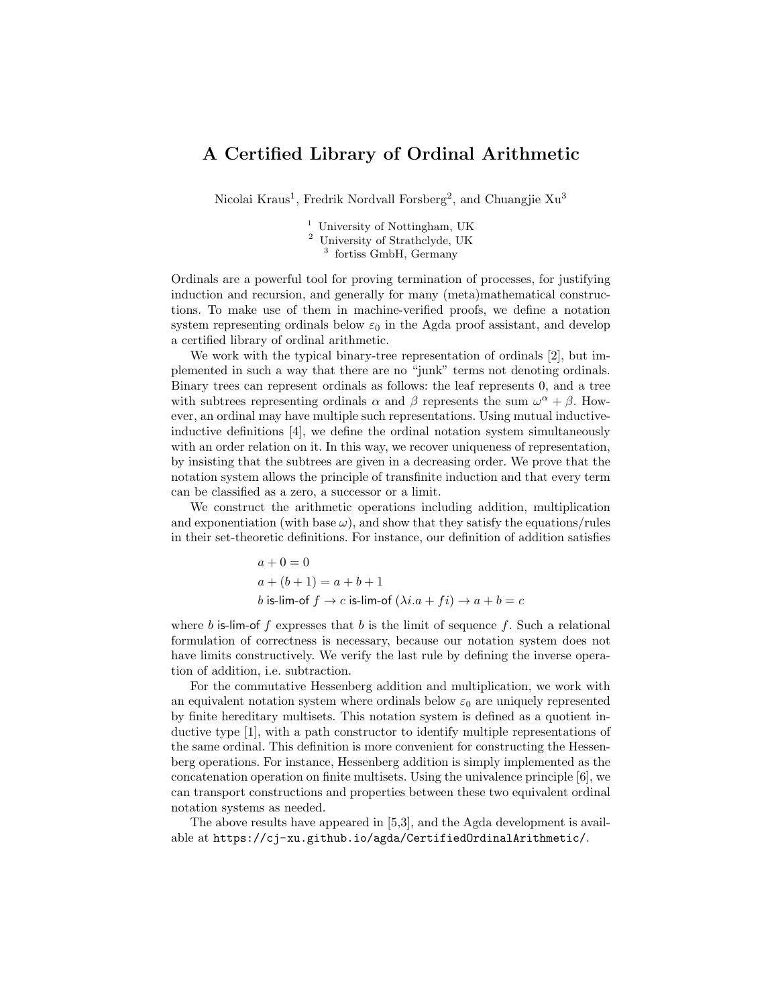## A Certified Library of Ordinal Arithmetic

Nicolai Kraus<sup>1</sup>, Fredrik Nordvall Forsberg<sup>2</sup>, and Chuangjie Xu<sup>3</sup>

<sup>1</sup> University of Nottingham, UK <sup>2</sup> University of Strathclyde, UK 3 fortiss GmbH, Germany

Ordinals are a powerful tool for proving termination of processes, for justifying induction and recursion, and generally for many (meta)mathematical constructions. To make use of them in machine-verified proofs, we define a notation system representing ordinals below  $\varepsilon_0$  in the Agda proof assistant, and develop a certified library of ordinal arithmetic.

We work with the typical binary-tree representation of ordinals [\[2\]](#page-1-0), but implemented in such a way that there are no "junk" terms not denoting ordinals. Binary trees can represent ordinals as follows: the leaf represents 0, and a tree with subtrees representing ordinals  $\alpha$  and  $\beta$  represents the sum  $\omega^{\alpha} + \beta$ . However, an ordinal may have multiple such representations. Using mutual inductiveinductive definitions [\[4\]](#page-1-1), we define the ordinal notation system simultaneously with an order relation on it. In this way, we recover uniqueness of representation, by insisting that the subtrees are given in a decreasing order. We prove that the notation system allows the principle of transfinite induction and that every term can be classified as a zero, a successor or a limit.

We construct the arithmetic operations including addition, multiplication and exponentiation (with base  $\omega$ ), and show that they satisfy the equations/rules in their set-theoretic definitions. For instance, our definition of addition satisfies

$$
a + 0 = 0
$$
  
\n
$$
a + (b + 1) = a + b + 1
$$
  
\n
$$
b \text{ is-lim-of } f \rightarrow c \text{ is-lim-of } (\lambda i.a + fi) \rightarrow a + b = c
$$

where b is-lim-of f expresses that b is the limit of sequence f. Such a relational formulation of correctness is necessary, because our notation system does not have limits constructively. We verify the last rule by defining the inverse operation of addition, i.e. subtraction.

For the commutative Hessenberg addition and multiplication, we work with an equivalent notation system where ordinals below  $\varepsilon_0$  are uniquely represented by finite hereditary multisets. This notation system is defined as a quotient inductive type [\[1\]](#page-1-2), with a path constructor to identify multiple representations of the same ordinal. This definition is more convenient for constructing the Hessenberg operations. For instance, Hessenberg addition is simply implemented as the concatenation operation on finite multisets. Using the univalence principle [\[6\]](#page-1-3), we can transport constructions and properties between these two equivalent ordinal notation systems as needed.

The above results have appeared in [\[5,](#page-1-4)[3\]](#page-1-5), and the Agda development is available at <https://cj-xu.github.io/agda/CertifiedOrdinalArithmetic/>.